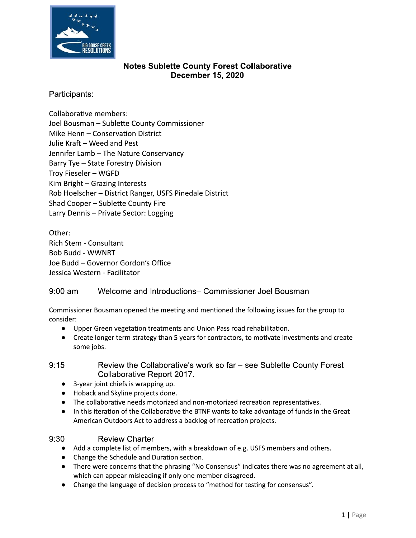

# **Notes Sublette County Forest Collaborative December 15, 2020**

Participants:

Collaborative members: Joel Bousman - Sublette County Commissioner Mike Henn - Conservation District Julie Kraft - Weed and Pest Jennifer Lamb - The Nature Conservancy Barry Tye – State Forestry Division Troy Fieseler - WGFD Kim Bright - Grazing Interests Rob Hoelscher - District Ranger, USFS Pinedale District Shad Cooper - Sublette County Fire Larry Dennis - Private Sector: Logging

Other: **Rich Stem - Consultant Bob Budd - WWNRT** Joe Budd - Governor Gordon's Office Jessica Western - Facilitator

## $9:00$  am Welcome and Introductions- Commissioner Joel Bousman

Commissioner Bousman opened the meeting and mentioned the following issues for the group to consider:

- Upper Green vegetation treatments and Union Pass road rehabilitation.
- Create longer term strategy than 5 years for contractors, to motivate investments and create some jobs.

# $9:15$ Review the Collaborative's work so far – see Sublette County Forest Collaborative Report 2017.

- 3-year joint chiefs is wrapping up.
- Hoback and Skyline projects done.
- The collaborative needs motorized and non-motorized recreation representatives.
- In this iteration of the Collaborative the BTNF wants to take advantage of funds in the Great American Outdoors Act to address a backlog of recreation projects.

#### $9:30$ **Review Charter**

- Add a complete list of members, with a breakdown of e.g. USFS members and others.
- Change the Schedule and Duration section.
- There were concerns that the phrasing "No Consensus" indicates there was no agreement at all, which can appear misleading if only one member disagreed.
- Change the language of decision process to "method for testing for consensus".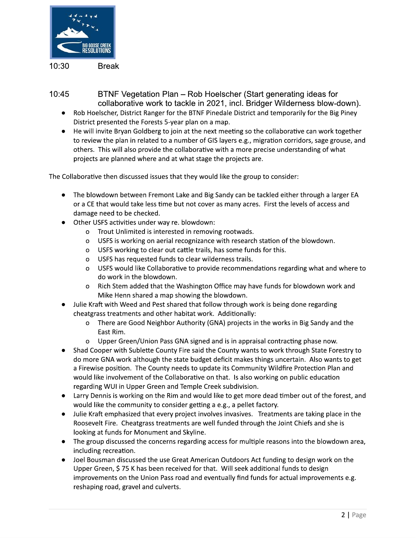

 $10:30$ **Break** 

- $10:45$ BTNF Vegetation Plan - Rob Hoelscher (Start generating ideas for collaborative work to tackle in 2021, incl. Bridger Wilderness blow-down).
	- Rob Hoelscher, District Ranger for the BTNF Pinedale District and temporarily for the Big Piney District presented the Forests 5-year plan on a map.
	- He will invite Bryan Goldberg to join at the next meeting so the collaborative can work together to review the plan in related to a number of GIS layers e.g., migration corridors, sage grouse, and others. This will also provide the collaborative with a more precise understanding of what projects are planned where and at what stage the projects are.

The Collaborative then discussed issues that they would like the group to consider:

- The blowdown between Fremont Lake and Big Sandy can be tackled either through a larger EA or a CE that would take less time but not cover as many acres. First the levels of access and damage need to be checked.
- Other USFS activities under way re. blowdown:
	- o Trout Unlimited is interested in removing rootwads.
	- o USFS is working on aerial recognizance with research station of the blowdown.
	- o USFS working to clear out cattle trails, has some funds for this.
	- o USFS has requested funds to clear wilderness trails.
	- o USFS would like Collaborative to provide recommendations regarding what and where to do work in the blowdown.
	- Rich Stem added that the Washington Office may have funds for blowdown work and  $\overline{O}$ Mike Henn shared a map showing the blowdown.
- Julie Kraft with Weed and Pest shared that follow through work is being done regarding cheatgrass treatments and other habitat work. Additionally:
	- o There are Good Neighbor Authority (GNA) projects in the works in Big Sandy and the East Rim.
	- o Upper Green/Union Pass GNA signed and is in appraisal contracting phase now.
- Shad Cooper with Sublette County Fire said the County wants to work through State Forestry to do more GNA work although the state budget deficit makes things uncertain. Also wants to get a Firewise position. The County needs to update its Community Wildfire Protection Plan and would like involvement of the Collaborative on that. Is also working on public education regarding WUI in Upper Green and Temple Creek subdivision.
- Larry Dennis is working on the Rim and would like to get more dead timber out of the forest, and would like the community to consider getting a e.g., a pellet factory.
- Julie Kraft emphasized that every project involves invasives. Treatments are taking place in the Roosevelt Fire. Cheatgrass treatments are well funded through the Joint Chiefs and she is looking at funds for Monument and Skyline.
- The group discussed the concerns regarding access for multiple reasons into the blowdown area, including recreation.
- Joel Bousman discussed the use Great American Outdoors Act funding to design work on the Upper Green, \$75 K has been received for that. Will seek additional funds to design improvements on the Union Pass road and eventually find funds for actual improvements e.g. reshaping road, gravel and culverts.